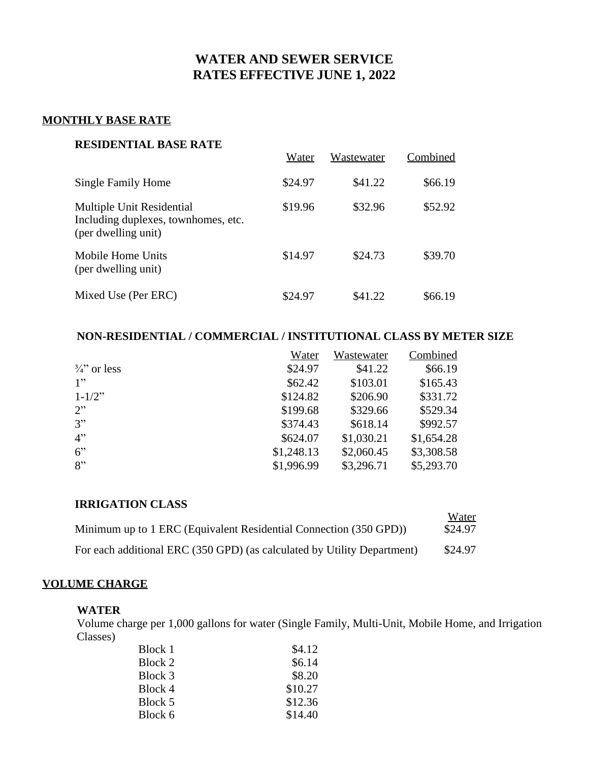# **WATER AND SEWER SERVICE RATES EFFECTIVE JUNE 1, 2022**

## **MONTHLY BASE RATE**

### **RESIDENTIAL BASE RATE**

| Residential dase nati                                                                   | Water   | Wastewater | Combined |
|-----------------------------------------------------------------------------------------|---------|------------|----------|
| Single Family Home                                                                      | \$24.97 | \$41.22    | \$66.19  |
| Multiple Unit Residential<br>Including duplexes, townhomes, etc.<br>(per dwelling unit) | \$19.96 | \$32.96    | \$52.92  |
| Mobile Home Units<br>(per dwelling unit)                                                | \$14.97 | \$24.73    | \$39.70  |
| Mixed Use (Per ERC)                                                                     | \$24.97 | \$41.22    | \$66.19  |

## **NON-RESIDENTIAL / COMMERCIAL / INSTITUTIONAL CLASS BY METER SIZE**

|                       | Water      | Wastewater | Combined   |
|-----------------------|------------|------------|------------|
| $\frac{3}{4}$ or less | \$24.97    | \$41.22    | \$66.19    |
| 1"                    | \$62.42    | \$103.01   | \$165.43   |
| $1 - 1/2$ "           | \$124.82   | \$206.90   | \$331.72   |
| 2"                    | \$199.68   | \$329.66   | \$529.34   |
| 3"                    | \$374.43   | \$618.14   | \$992.57   |
| 4"                    | \$624.07   | \$1,030.21 | \$1,654.28 |
| 6"                    | \$1,248.13 | \$2,060.45 | \$3,308.58 |
| 8"                    | \$1,996.99 | \$3,296.71 | \$5,293.70 |

| <b>IRRIGATION CLASS</b>                                                 |         |
|-------------------------------------------------------------------------|---------|
|                                                                         | Water   |
| Minimum up to 1 ERC (Equivalent Residential Connection (350 GPD))       | \$24.97 |
| For each additional ERC (350 GPD) (as calculated by Utility Department) | \$24.97 |

## **VOLUME CHARGE**

### **WATER**

Volume charge per 1,000 gallons for water (Single Family, Multi-Unit, Mobile Home, and Irrigation Classes)

| Block 1 | \$4.12  |
|---------|---------|
| Block 2 | \$6.14  |
| Block 3 | \$8.20  |
| Block 4 | \$10.27 |
| Block 5 | \$12.36 |
| Block 6 | \$14.40 |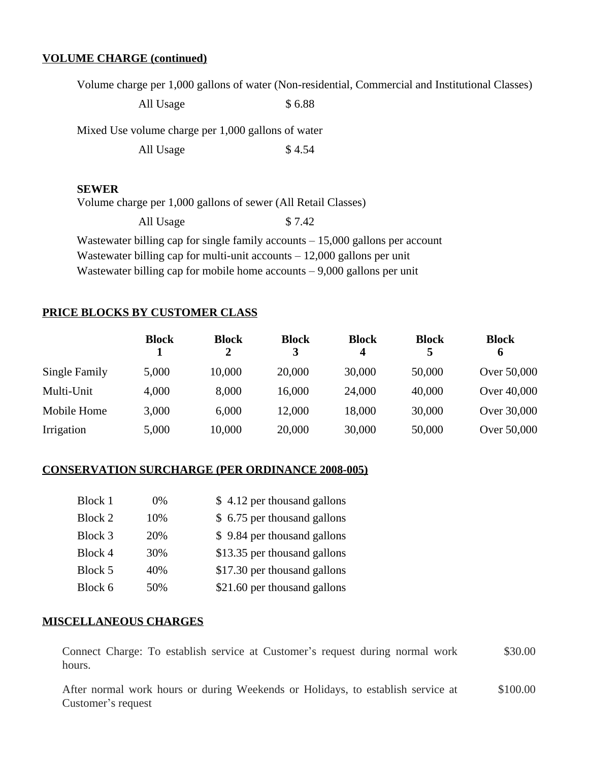### **VOLUME CHARGE (continued)**

Volume charge per 1,000 gallons of water (Non-residential, Commercial and Institutional Classes)

All Usage  $$ 6.88$ 

Mixed Use volume charge per 1,000 gallons of water

All Usage  $$4.54$ 

#### **SEWER**

Volume charge per 1,000 gallons of sewer (All Retail Classes)

All Usage  $$ 7.42$ 

Wastewater billing cap for single family accounts – 15,000 gallons per account Wastewater billing cap for multi-unit accounts  $-12,000$  gallons per unit Wastewater billing cap for mobile home accounts – 9,000 gallons per unit

### **PRICE BLOCKS BY CUSTOMER CLASS**

|               | <b>Block</b> | <b>Block</b><br>2 | <b>Block</b><br>3 | <b>Block</b><br>4 | <b>Block</b><br>5 | <b>Block</b><br>6 |
|---------------|--------------|-------------------|-------------------|-------------------|-------------------|-------------------|
| Single Family | 5,000        | 10,000            | 20,000            | 30,000            | 50,000            | Over 50,000       |
| Multi-Unit    | 4,000        | 8,000             | 16,000            | 24,000            | 40,000            | Over 40,000       |
| Mobile Home   | 3,000        | 6,000             | 12,000            | 18,000            | 30,000            | Over 30,000       |
| Irrigation    | 5,000        | 10,000            | 20,000            | 30,000            | 50,000            | Over 50,000       |

#### **CONSERVATION SURCHARGE (PER ORDINANCE 2008-005)**

| Block 1 | 0%  | \$4.12 per thousand gallons  |
|---------|-----|------------------------------|
| Block 2 | 10% | \$ 6.75 per thousand gallons |
| Block 3 | 20% | \$9.84 per thousand gallons  |
| Block 4 | 30% | \$13.35 per thousand gallons |
| Block 5 | 40% | \$17.30 per thousand gallons |
| Block 6 | 50% | \$21.60 per thousand gallons |

#### **MISCELLANEOUS CHARGES**

Connect Charge: To establish service at Customer's request during normal work hours. \$30.00

After normal work hours or during Weekends or Holidays, to establish service at Customer's request \$100.00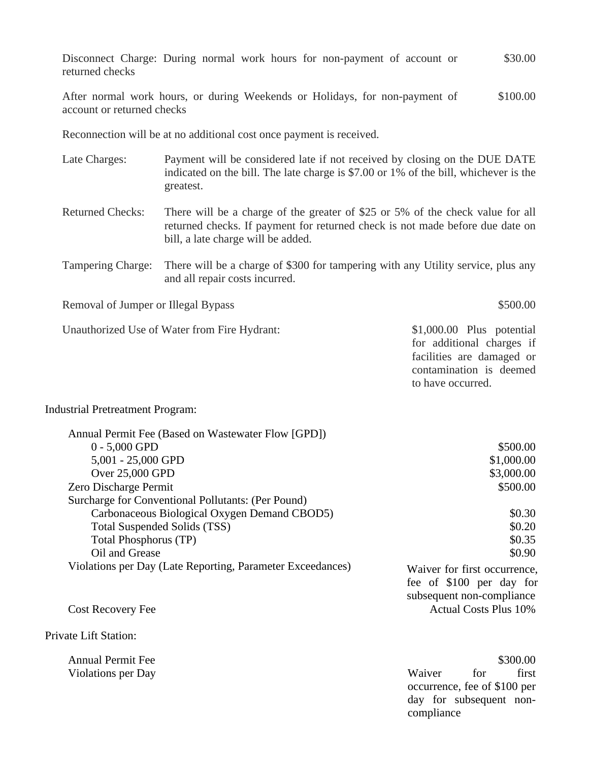|                 |  |  |  | Disconnect Charge: During normal work hours for non-payment of account or |  | \$30.00 |
|-----------------|--|--|--|---------------------------------------------------------------------------|--|---------|
| returned checks |  |  |  |                                                                           |  |         |

After normal work hours, or during Weekends or Holidays, for non-payment of account or returned checks \$100.00

Reconnection will be at no additional cost once payment is received.

- Late Charges: Payment will be considered late if not received by closing on the DUE DATE indicated on the bill. The late charge is \$7.00 or 1% of the bill, whichever is the greatest.
- Returned Checks: There will be a charge of the greater of \$25 or 5% of the check value for all returned checks. If payment for returned check is not made before due date on bill, a late charge will be added.
- Tampering Charge: There will be a charge of \$300 for tampering with any Utility service, plus any and all repair costs incurred.

Removal of Jumper or Illegal Bypass \$500.00

Unauthorized Use of Water from Fire Hydrant: \$1,000.00 Plus potential

for additional charges if facilities are damaged or contamination is deemed to have occurred.

#### Industrial Pretreatment Program:

| \$500.00                     |
|------------------------------|
| \$1,000.00                   |
| \$3,000.00                   |
| \$500.00                     |
|                              |
| \$0.30                       |
| \$0.20                       |
| \$0.35                       |
| \$0.90                       |
| Waiver for first occurrence, |
| fee of \$100 per day for     |
| subsequent non-compliance    |
| <b>Actual Costs Plus 10%</b> |
|                              |

Private Lift Station:

Annual Permit Fee  $$300.00$ Violations per Day **Waiver 6.1999** Waiver **6.1999** Waiver **6.1999** Waiver **6.1999** Waiver **6.1999** Waiver **6.1999** occurrence, fee of \$100 per day for subsequent noncompliance